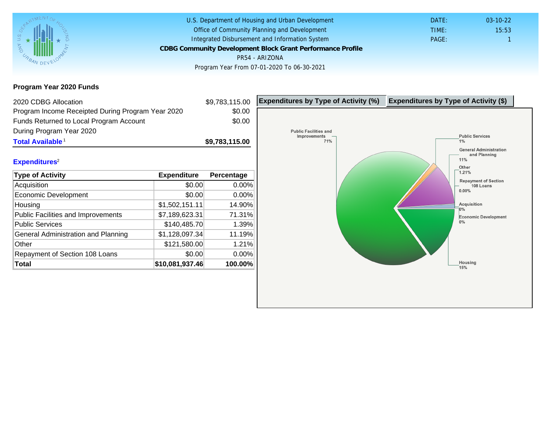Program Year 2020 Funds

| 2020 CDBG Allocation                              |                 | \$9,783,115.00 | Expenditures by Type of Activity (%) | Expenditure |
|---------------------------------------------------|-----------------|----------------|--------------------------------------|-------------|
| Program Income Receipted During Program Year 2020 |                 | \$0.00         |                                      |             |
| Funds Returned to Local Program Account           |                 | \$0.00         |                                      |             |
| During Program Year 2020                          |                 |                |                                      |             |
| Total Available <sup>1</sup>                      |                 | \$9,783,115.00 |                                      |             |
|                                                   |                 |                |                                      |             |
| Expenditures <sup>2</sup>                         |                 |                |                                      |             |
| Type of Activity                                  | Expenditure     | Percentage     |                                      |             |
| Acquisition                                       | \$0.00          | 0.00%          |                                      |             |
| <b>Economic Development</b>                       | \$0.00          | 0.00%          |                                      |             |
| Housing                                           | \$1,502,151.11  | 14.90%         |                                      |             |
| <b>Public Facilities and Improvements</b>         | \$7,189,623.31  | 71.31%         |                                      |             |
| <b>Public Services</b>                            | \$140,485.70    | 1.39%          |                                      |             |
| General Administration and Planning               | \$1,128,097.34  | 11.19%         |                                      |             |
| Other                                             | \$121,580.00    | 1.21%          |                                      |             |
| Repayment of Section 108 Loans                    | \$0.00          | 0.00%          |                                      |             |
| Total                                             | \$10,081,937.46 | 100.00%        |                                      |             |
|                                                   |                 |                |                                      |             |
|                                                   |                 |                |                                      |             |
|                                                   |                 |                |                                      |             |
|                                                   |                 |                |                                      |             |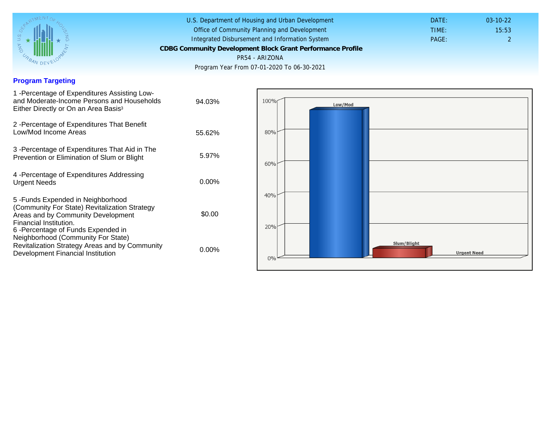## Program Targeting

| 1 -Percentage of Expenditures Assisting Low-<br>and Moderate-Income Persons and Households<br>Either Directly or On an Area Basis <sup>3</sup>                                                                                 | 94.03%   |
|--------------------------------------------------------------------------------------------------------------------------------------------------------------------------------------------------------------------------------|----------|
| 2 - Percentage of Expenditures That Benefit<br>Low/Mod Income Areas                                                                                                                                                            | 55.62%   |
| 3 -Percentage of Expenditures That Aid in The<br>Prevention or Elimination of Slum or Blight                                                                                                                                   | 5.97%    |
| 4 - Percentage of Expenditures Addressing<br><b>Urgent Needs</b>                                                                                                                                                               | $0.00\%$ |
| 5 - Funds Expended in Neighborhood<br>(Community For State) Revitalization Strategy<br>Areas and by Community Development<br>Financial Institution.<br>6-Percentage of Funds Expended in<br>Neighborhood (Community For State) | \$0.00   |
| Revitalization Strategy Areas and by Community<br>Development Financial Institution                                                                                                                                            | $0.00\%$ |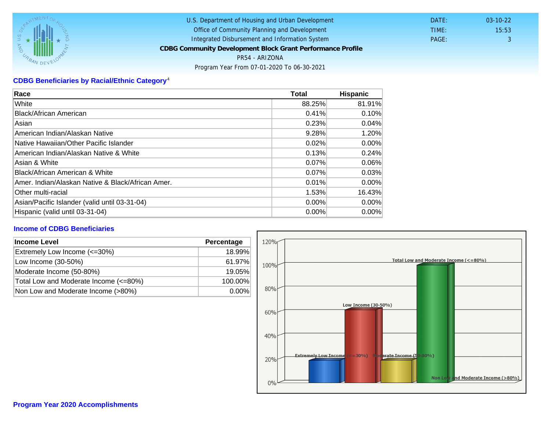## CDBG Beneficiaries by Racial/Ethnic Category <sup>4</sup>

| Race                                              | Total    | Hispanic |
|---------------------------------------------------|----------|----------|
| White                                             | 88.25%   | 81.91%   |
| Black/African American                            | 0.41%    | 0.10%    |
| Asian                                             | 0.23%    | 0.04%    |
| American Indian/Alaskan Native                    | 9.28%    | 1.20%    |
| Native Hawaiian/Other Pacific Islander            | 0.02%    | $0.00\%$ |
| American Indian/Alaskan Native & White            | 0.13%    | 0.24%    |
| Asian & White                                     | 0.07%    | 0.06%    |
| Black/African American & White                    | 0.07%    | 0.03%    |
| Amer. Indian/Alaskan Native & Black/African Amer. | 0.01%    | $0.00\%$ |
| <b>Other multi-racial</b>                         | 1.53%    | 16.43%   |
| Asian/Pacific Islander (valid until 03-31-04)     | $0.00\%$ | 0.00%    |
| Hispanic (valid until 03-31-04)                   | 0.00%    | 0.00%    |

## Income of CDBG Beneficiaries

| Income Level                          | Percentage |  |
|---------------------------------------|------------|--|
| Extremely Low Income (<=30%)          | 18.99%     |  |
| Low Income (30-50%)                   | 61.97%     |  |
| Moderate Income (50-80%)              | 19.05%     |  |
| Total Low and Moderate Income (<=80%) | 100.00%    |  |
| Non Low and Moderate Income (>80%)    | $0.00\%$   |  |